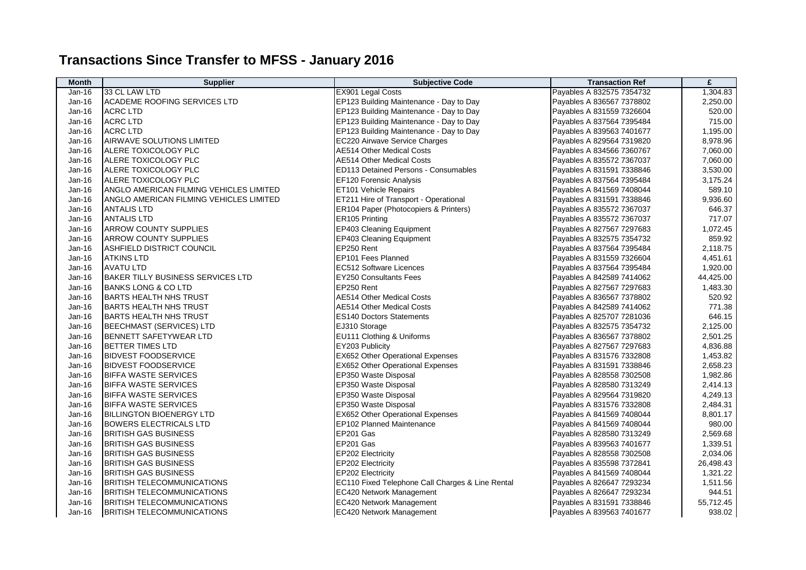## **Transactions Since Transfer to MFSS - January 2016**

| <b>Month</b> | <b>Supplier</b>                          | <b>Subjective Code</b>                           | <b>Transaction Ref</b>    | £         |
|--------------|------------------------------------------|--------------------------------------------------|---------------------------|-----------|
| Jan-16       | 33 CL LAW LTD                            | EX901 Legal Costs                                | Payables A 832575 7354732 | 1,304.83  |
| Jan-16       | ACADEME ROOFING SERVICES LTD             | EP123 Building Maintenance - Day to Day          | Payables A 836567 7378802 | 2,250.00  |
| Jan-16       | <b>ACRC LTD</b>                          | EP123 Building Maintenance - Day to Day          | Payables A 831559 7326604 | 520.00    |
| Jan-16       | <b>ACRC LTD</b>                          | EP123 Building Maintenance - Day to Day          | Payables A 837564 7395484 | 715.00    |
| Jan-16       | <b>ACRC LTD</b>                          | EP123 Building Maintenance - Day to Day          | Payables A 839563 7401677 | 1,195.00  |
| Jan-16       | <b>AIRWAVE SOLUTIONS LIMITED</b>         | EC220 Airwave Service Charges                    | Payables A 829564 7319820 | 8,978.96  |
| Jan-16       | ALERE TOXICOLOGY PLC                     | <b>AE514 Other Medical Costs</b>                 | Payables A 834566 7360767 | 7,060.00  |
| Jan-16       | ALERE TOXICOLOGY PLC                     | <b>AE514 Other Medical Costs</b>                 | Payables A 835572 7367037 | 7,060.00  |
| Jan-16       | ALERE TOXICOLOGY PLC                     | <b>ED113 Detained Persons - Consumables</b>      | Payables A 831591 7338846 | 3,530.00  |
| Jan-16       | ALERE TOXICOLOGY PLC                     | EF120 Forensic Analysis                          | Payables A 837564 7395484 | 3,175.24  |
| Jan-16       | ANGLO AMERICAN FILMING VEHICLES LIMITED  | ET101 Vehicle Repairs                            | Payables A 841569 7408044 | 589.10    |
| Jan-16       | ANGLO AMERICAN FILMING VEHICLES LIMITED  | ET211 Hire of Transport - Operational            | Payables A 831591 7338846 | 9,936.60  |
| Jan-16       | <b>ANTALIS LTD</b>                       | ER104 Paper (Photocopiers & Printers)            | Payables A 835572 7367037 | 646.37    |
| Jan-16       | <b>ANTALIS LTD</b>                       | ER105 Printing                                   | Payables A 835572 7367037 | 717.07    |
| Jan-16       | <b>ARROW COUNTY SUPPLIES</b>             | EP403 Cleaning Equipment                         | Payables A 827567 7297683 | 1,072.45  |
| Jan-16       | <b>ARROW COUNTY SUPPLIES</b>             | EP403 Cleaning Equipment                         | Payables A 832575 7354732 | 859.92    |
| Jan-16       | ASHFIELD DISTRICT COUNCIL                | EP250 Rent                                       | Payables A 837564 7395484 | 2,118.75  |
| Jan-16       | <b>ATKINS LTD</b>                        | EP101 Fees Planned                               | Payables A 831559 7326604 | 4,451.61  |
| Jan-16       | <b>AVATU LTD</b>                         | EC512 Software Licences                          | Payables A 837564 7395484 | 1,920.00  |
| Jan-16       | <b>BAKER TILLY BUSINESS SERVICES LTD</b> | <b>EY250 Consultants Fees</b>                    | Payables A 842589 7414062 | 44,425.00 |
| Jan-16       | <b>BANKS LONG &amp; CO LTD</b>           | EP250 Rent                                       | Payables A 827567 7297683 | 1,483.30  |
| Jan-16       | <b>BARTS HEALTH NHS TRUST</b>            | <b>AE514 Other Medical Costs</b>                 | Payables A 836567 7378802 | 520.92    |
| Jan-16       | <b>BARTS HEALTH NHS TRUST</b>            | <b>AE514 Other Medical Costs</b>                 | Payables A 842589 7414062 | 771.38    |
| Jan-16       | <b>BARTS HEALTH NHS TRUST</b>            | <b>ES140 Doctors Statements</b>                  | Payables A 825707 7281036 | 646.15    |
| Jan-16       | <b>BEECHMAST (SERVICES) LTD</b>          | EJ310 Storage                                    | Payables A 832575 7354732 | 2,125.00  |
| Jan-16       | <b>BENNETT SAFETYWEAR LTD</b>            | EU111 Clothing & Uniforms                        | Payables A 836567 7378802 | 2,501.25  |
| Jan-16       | BETTER TIMES LTD                         | EY203 Publicity                                  | Payables A 827567 7297683 | 4,836.88  |
| Jan-16       | <b>BIDVEST FOODSERVICE</b>               | EX652 Other Operational Expenses                 | Payables A 831576 7332808 | 1,453.82  |
| Jan-16       | <b>BIDVEST FOODSERVICE</b>               | <b>EX652 Other Operational Expenses</b>          | Payables A 831591 7338846 | 2,658.23  |
| Jan-16       | <b>BIFFA WASTE SERVICES</b>              | EP350 Waste Disposal                             | Payables A 828558 7302508 | 1,982.86  |
| Jan-16       | <b>BIFFA WASTE SERVICES</b>              | EP350 Waste Disposal                             | Payables A 828580 7313249 | 2,414.13  |
| Jan-16       | <b>BIFFA WASTE SERVICES</b>              | EP350 Waste Disposal                             | Payables A 829564 7319820 | 4,249.13  |
| Jan-16       | <b>BIFFA WASTE SERVICES</b>              | EP350 Waste Disposal                             | Payables A 831576 7332808 | 2,484.31  |
| Jan-16       | <b>BILLINGTON BIOENERGY LTD</b>          | EX652 Other Operational Expenses                 | Payables A 841569 7408044 | 8,801.17  |
| Jan-16       | <b>BOWERS ELECTRICALS LTD</b>            | <b>EP102 Planned Maintenance</b>                 | Payables A 841569 7408044 | 980.00    |
| Jan-16       | <b>BRITISH GAS BUSINESS</b>              | EP201 Gas                                        | Payables A 828580 7313249 | 2,569.68  |
| Jan-16       | <b>BRITISH GAS BUSINESS</b>              | EP201 Gas                                        | Payables A 839563 7401677 | 1,339.51  |
| Jan-16       | BRITISH GAS BUSINESS                     | EP202 Electricity                                | Payables A 828558 7302508 | 2,034.06  |
| Jan-16       | <b>BRITISH GAS BUSINESS</b>              | EP202 Electricity                                | Payables A 835598 7372841 | 26,498.43 |
| Jan-16       | <b>BRITISH GAS BUSINESS</b>              | EP202 Electricity                                | Payables A 841569 7408044 | 1,321.22  |
| Jan-16       | <b>BRITISH TELECOMMUNICATIONS</b>        | EC110 Fixed Telephone Call Charges & Line Rental | Payables A 826647 7293234 | 1,511.56  |
| Jan-16       | <b>BRITISH TELECOMMUNICATIONS</b>        | EC420 Network Management                         | Payables A 826647 7293234 | 944.51    |
| Jan-16       | <b>BRITISH TELECOMMUNICATIONS</b>        | EC420 Network Management                         | Payables A 831591 7338846 | 55,712.45 |
| Jan-16       | <b>BRITISH TELECOMMUNICATIONS</b>        | <b>EC420 Network Management</b>                  | Payables A 839563 7401677 | 938.02    |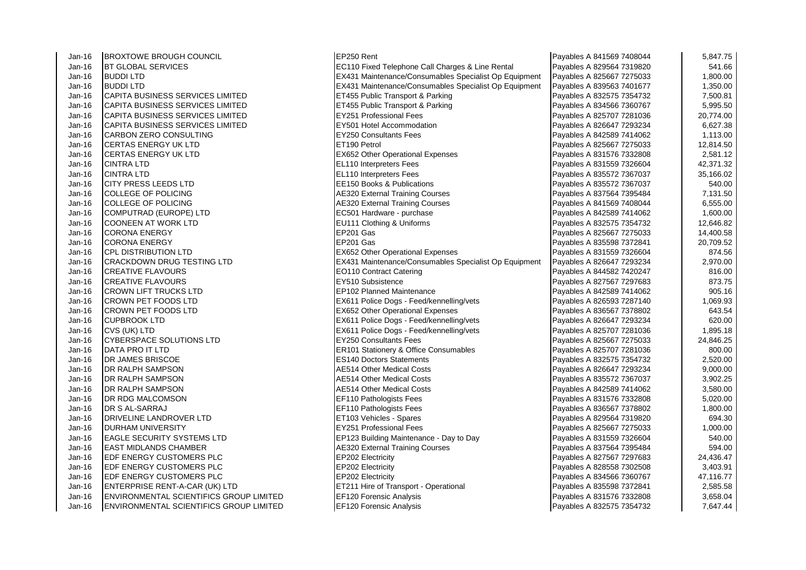| Jan-16 | <b>BROXTOWE BROUGH COUNCIL</b>                 | EP250 Rent                                            | Payables A 841569 7408044 | 5,847.75  |
|--------|------------------------------------------------|-------------------------------------------------------|---------------------------|-----------|
| Jan-16 | <b>BT GLOBAL SERVICES</b>                      | EC110 Fixed Telephone Call Charges & Line Rental      | Payables A 829564 7319820 | 541.66    |
| Jan-16 | <b>BUDDILTD</b>                                | EX431 Maintenance/Consumables Specialist Op Equipment | Payables A 825667 7275033 | 1,800.00  |
| Jan-16 | <b>BUDDILTD</b>                                | EX431 Maintenance/Consumables Specialist Op Equipment | Payables A 839563 7401677 | 1,350.00  |
| Jan-16 | <b>CAPITA BUSINESS SERVICES LIMITED</b>        | ET455 Public Transport & Parking                      | Payables A 832575 7354732 | 7,500.81  |
| Jan-16 | CAPITA BUSINESS SERVICES LIMITED               | ET455 Public Transport & Parking                      | Payables A 834566 7360767 | 5,995.50  |
| Jan-16 | CAPITA BUSINESS SERVICES LIMITED               | <b>EY251 Professional Fees</b>                        | Payables A 825707 7281036 | 20,774.00 |
| Jan-16 | CAPITA BUSINESS SERVICES LIMITED               | EY501 Hotel Accommodation                             | Payables A 826647 7293234 | 6,627.38  |
| Jan-16 | CARBON ZERO CONSULTING                         | <b>EY250 Consultants Fees</b>                         | Payables A 842589 7414062 | 1,113.00  |
| Jan-16 | <b>CERTAS ENERGY UK LTD</b>                    | ET190 Petrol                                          | Payables A 825667 7275033 | 12,814.50 |
| Jan-16 | <b>I</b> CERTAS ENERGY UK LTD                  | <b>EX652 Other Operational Expenses</b>               | Payables A 831576 7332808 | 2,581.12  |
| Jan-16 | <b>CINTRA LTD</b>                              | EL110 Interpreters Fees                               | Payables A 831559 7326604 | 42,371.32 |
| Jan-16 | <b>CINTRA LTD</b>                              | EL110 Interpreters Fees                               | Payables A 835572 7367037 | 35,166.02 |
| Jan-16 | CITY PRESS LEEDS LTD                           | EE150 Books & Publications                            | Payables A 835572 7367037 | 540.00    |
| Jan-16 | COLLEGE OF POLICING                            | <b>AE320 External Training Courses</b>                | Payables A 837564 7395484 | 7,131.50  |
| Jan-16 | COLLEGE OF POLICING                            | <b>AE320 External Training Courses</b>                | Payables A 841569 7408044 | 6,555.00  |
| Jan-16 | COMPUTRAD (EUROPE) LTD                         | EC501 Hardware - purchase                             | Payables A 842589 7414062 | 1,600.00  |
| Jan-16 | COONEEN AT WORK LTD                            | EU111 Clothing & Uniforms                             | Payables A 832575 7354732 | 12,646.82 |
| Jan-16 | <b>CORONA ENERGY</b>                           | EP201 Gas                                             | Payables A 825667 7275033 | 14,400.58 |
| Jan-16 | <b>CORONA ENERGY</b>                           | EP201 Gas                                             | Payables A 835598 7372841 | 20,709.52 |
| Jan-16 | ICPL DISTRIBUTION LTD                          | <b>EX652 Other Operational Expenses</b>               | Payables A 831559 7326604 | 874.56    |
| Jan-16 | ICRACKDOWN DRUG TESTING LTD                    | EX431 Maintenance/Consumables Specialist Op Equipment | Payables A 826647 7293234 | 2,970.00  |
| Jan-16 | <b>CREATIVE FLAVOURS</b>                       | <b>EO110 Contract Catering</b>                        | Payables A 844582 7420247 | 816.00    |
| Jan-16 | <b>CREATIVE FLAVOURS</b>                       | EY510 Subsistence                                     | Payables A 827567 7297683 | 873.75    |
| Jan-16 | ICROWN LIFT TRUCKS LTD                         | EP102 Planned Maintenance                             | Payables A 842589 7414062 | 905.16    |
| Jan-16 | ICROWN PET FOODS LTD                           | EX611 Police Dogs - Feed/kennelling/vets              | Payables A 826593 7287140 | 1,069.93  |
| Jan-16 | <b>CROWN PET FOODS LTD</b>                     | <b>EX652 Other Operational Expenses</b>               | Payables A 836567 7378802 | 643.54    |
| Jan-16 | <b>CUPBROOK LTD</b>                            | EX611 Police Dogs - Feed/kennelling/vets              | Payables A 826647 7293234 | 620.00    |
| Jan-16 | CVS (UK) LTD                                   | EX611 Police Dogs - Feed/kennelling/vets              | Payables A 825707 7281036 | 1,895.18  |
| Jan-16 | <b>ICYBERSPACE SOLUTIONS LTD</b>               | <b>EY250 Consultants Fees</b>                         | Payables A 825667 7275033 | 24,846.25 |
| Jan-16 | DATA PRO IT LTD                                | <b>ER101 Stationery &amp; Office Consumables</b>      | Payables A 825707 7281036 | 800.00    |
| Jan-16 | <b>DR JAMES BRISCOE</b>                        | <b>ES140 Doctors Statements</b>                       | Payables A 832575 7354732 | 2,520.00  |
| Jan-16 | DR RALPH SAMPSON                               | <b>AE514 Other Medical Costs</b>                      | Payables A 826647 7293234 | 9,000.00  |
| Jan-16 | DR RALPH SAMPSON                               | <b>AE514 Other Medical Costs</b>                      | Payables A 835572 7367037 | 3,902.25  |
| Jan-16 | <b>DR RALPH SAMPSON</b>                        | <b>AE514 Other Medical Costs</b>                      | Payables A 842589 7414062 | 3,580.00  |
| Jan-16 | <b>DR RDG MALCOMSON</b>                        | EF110 Pathologists Fees                               | Payables A 831576 7332808 | 5,020.00  |
| Jan-16 | DR S AL-SARRAJ                                 | EF110 Pathologists Fees                               | Payables A 836567 7378802 | 1,800.00  |
| Jan-16 | <b>DRIVELINE LANDROVER LTD</b>                 | ET103 Vehicles - Spares                               | Payables A 829564 7319820 | 694.30    |
| Jan-16 | <b>DURHAM UNIVERSITY</b>                       | <b>EY251 Professional Fees</b>                        | Payables A 825667 7275033 | 1,000.00  |
| Jan-16 | <b>IEAGLE SECURITY SYSTEMS LTD</b>             | EP123 Building Maintenance - Day to Day               | Payables A 831559 7326604 | 540.00    |
| Jan-16 | <b>EAST MIDLANDS CHAMBER</b>                   | AE320 External Training Courses                       | Payables A 837564 7395484 | 594.00    |
| Jan-16 | EDF ENERGY CUSTOMERS PLC                       | EP202 Electricity                                     | Payables A 827567 7297683 | 24,436.47 |
| Jan-16 | EDF ENERGY CUSTOMERS PLC                       | EP202 Electricity                                     | Payables A 828558 7302508 | 3,403.91  |
| Jan-16 | <b>EDF ENERGY CUSTOMERS PLC</b>                | EP202 Electricity                                     | Payables A 834566 7360767 | 47,116.77 |
| Jan-16 | ENTERPRISE RENT-A-CAR (UK) LTD                 | ET211 Hire of Transport - Operational                 | Payables A 835598 7372841 | 2,585.58  |
| Jan-16 | ENVIRONMENTAL SCIENTIFICS GROUP LIMITED        | EF120 Forensic Analysis                               | Payables A 831576 7332808 | 3,658.04  |
| Jan-16 | <b>ENVIRONMENTAL SCIENTIFICS GROUP LIMITED</b> | EF120 Forensic Analysis                               | Payables A 832575 7354732 | 7,647.44  |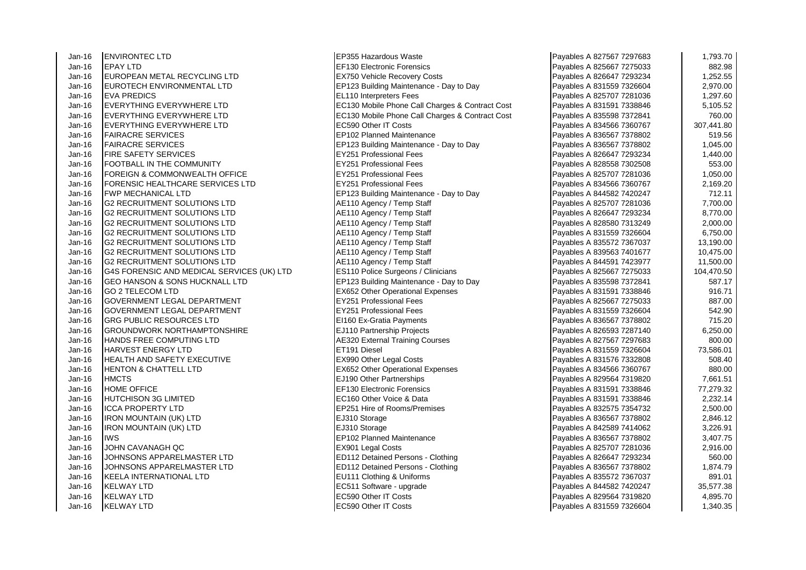Jan-16 ENVIRONTEC LTD EP355 Hazardous Waste Payables A 827567 7297683 1,793.70 Jan-16 EPAY LTD EF130 Electronic Forensics Payables A 825667 7275033 882.98 Jan-16 EUROPEAN METAL RECYCLING LTD EX750 Vehicle Recovery Costs Jan-16 EUROTECH ENVIRONMENTAL LTD EP123 Building Maintenance - Day to Day Jan-16 EVA PREDICS EL110 Interpreters Fees Payables A 825707 7281036 1,297.60 Jan-16 EVERYTHING EVERYWHERE LTD EXAMPLE EXAMPLE ET SAND ECT30 Mobile Phone Call Charges & Contract Cost Jan-16 EVERYTHING EVERYWHERE LTD EC130 Mobile Phone Call Charges & Contract Cost<br>Jan-16 EVERYTHING EVERYWHERE I TD Jan-16 **EVERYTHING EVERYWHERE LTD** Jan-16 **FAIRACRE SERVICES** EP102 Planned Maintenance Jan-16 FAIRACRE SERVICES ERRES ERRES ENTITLE PERITOR SUILDING MAINTENANCE - Day to Day<br>Jan-16 FIRE SAFETY SERVICES EXAGED A 836 2023 1,057851 802 1,05688000 Rees Jan-16 **FIRE SAFETY SERVICES** Jan-16 **FOOTBALL IN THE COMMUNITY EY251 Professional Fees**<br>Jan-16 **FORFIGN & COMMONWEAL TH OFFICE** FY251 Professional Fees Jan-16 FOREIGN & COMMONWEALTH OFFICE THE RESEARCH RESEARCH RESEARCH PROFESSIONAl Fees<br>Jan-16 FORENSIC HEALTHCARE SERVICES LTD THE RY251 Professional Fees Jan-16 **FORENSIC HEALTHCARE SERVICES LTD** Jan-16 FWP MECHANICAL LTD<br>Jan-16 G2 RECRUITMENT SOLUTIONS LTD **EXAGAGE A 8444**5410 Adency / Temp Staff G2 RECRUITMENT SOLUTIONS LTD Jan-16 G2 RECRUITMENT SOLUTIONS LTD Annual AE110 Agency / Temp Staff Jan-16 G2 RECRUITMENT SOLUTIONS LTD<br>
Jan-16 G2 RECRUITMENT SOLUTIONS LTD AE110 Agency / Temp Staff **G2 RECRUITMENT SOLUTIONS LTD** Jan-16 G2 RECRUITMENT SOLUTIONS LTD<br>Jan-16 G2 RECRUITMENT SOLUTIONS LTD AE110 Agency / Temp Staff Jan-16 G2 RECRUITMENT SOLUTIONS LTD Jan-16 G2 RECRUITMENT SOLUTIONS LTD AE110 Agency / Temp Staff Jan-16 G4S FORENSIC AND MEDICAL SERVICES (UK) LTD Jan-16 G4S FORENSIC AND MEDICAL SERVICES (UK) LTD Jan-16 GEO HANSON & SONS HUCKNALL LTD **EP123 Building Maintenance - Day to Day** Jan-16 GO 2 TELECOM LTD<br>Jan-16 GOVERNMENT LEGAL DEPARTMENT FRAGGIST EXCEPTION REPORTED THE RESIDENCE REAL BOOK PASSAGE REAL BOOKS Jan-16 GOVERNMENT LEGAL DEPARTMENT Jan-16 GOVERNMENT LEGAL DEPARTMENT EXAMPLE RESERVES RESERVES PROFESSIONAL Fees Jan-16 GRG PUBLIC RESOURCES LTD EI160 Ex-Gratia Payments Jan-16 GROUNDWORK NORTHAMPTONSHIRE **EXAMPLE 1999** EJ110 Partnership Projects Jan-16 HANDS FREE COMPUTING LTD AE320 External Training Courses A 827567 12976 812767 8176881 129768 Jan-16 HARVEST ENERGY LTD ET191 Diesel Payables A 831559 7326604 73,586.01 Jan-16 HEALTH AND SAFETY EXECUTIVE **EXAMPLE REGISTS** EX990 Other Legal Costs Jan-16 HENTON & CHATTELL LTD **EX652** Other Operational Expenses Jan-16 HMCTS **EJ190** Other Partnerships **Payables A 829564 74199** Jan-16 HOME OFFICE EF130 Electronic Forensics<br>Jan-16 HUTCHISON 3G I IMITED State Reserves A 8314 Jan-16 HUTCHISON 3G LIMITED EXIGN 2009 REC160 Other Voice & Data Jan-16 ICCA PROPERTY LTD EP251 Hire of Rooms/Premises Jan-16 |IRON MOUNTAIN (UK) LTD **EJ310** Storage Jan-16 IRON MOUNTAIN (UK) LTD EJ310 Storage Jan-16 IWS<br>Jan-16 JOHN CAVANAGH OC The Payable Research Payable Research Payables A 8361 1 601 Costs Jan-16 JOHN CAVANAGH QC EX901 Legal Costs Payables A 825707 7281036 2,916.00 Jan-16 JOHNSONS APPARELMASTER LTD ED112 Detained Persons - Clothing Jan-16 | JOHNSONS APPARELMASTER LTD | ED112 Detained Persons - Clothing Jan-16 KEELA INTERNATIONAL LTD **EU111 Clothing & Uniforms** Jan-16 KELWAY LTD **EC511** Software - upgrade Jan-16 KELWAY LTD EXAMPLE EC590 Other IT Costs Payables A 8295.70 FEC590 Other IT Costs Jan-16 KELWAY LTD EC590 Other IT Costs Payables A 831559 7326604 1,340.35

| Payables A 827567 7297683                              | 1,793.70              |
|--------------------------------------------------------|-----------------------|
| Payables A 825667 7275033                              | 882.98                |
| Payables A 826647 7293234                              | 1,252.55              |
| Payables A 831559 7326604                              | 2,970.00              |
| Payables A 825707 7281036                              | 1,297.60              |
| Payables A 831591 7338846                              | 5,105.52              |
| Payables A 835598 7372841                              | 760.00                |
| Payables A 834566 7360767                              | 307,441.80            |
| Payables A 836567 7378802                              | 519.56                |
| Payables A 836567 7378802                              | 1,045.00              |
| Payables A 826647 7293234                              | 1,440.00              |
| Payables A 828558 7302508                              | 553.00                |
| Payables A 825707 7281036                              | 1,050.00              |
| Payables A 834566 7360767                              | 2,169.20              |
| Payables A 844582 7420247                              | 712.11                |
| Payables A 825707 7281036                              | 7,700.00              |
| Payables A 826647 7293234                              | 8,770.00              |
| Payables A 828580 7313249                              | 2,000.00              |
| Payables A 831559 7326604                              | 6,750.00              |
| Payables A 835572 7367037                              | 13,190.00             |
| Payables A 839563 7401677                              | 10,475.00             |
| Payables A 844591 7423977                              | 11,500.00             |
| Payables A 825667 7275033                              | 104,470.50            |
| Payables A 835598 7372841                              | 587.17                |
| Payables A 831591 7338846                              | 916.71                |
| Payables A 825667 7275033                              | 887.00                |
| Payables A 831559 7326604                              | 542.90                |
| Payables A 836567 7378802                              | 715.20                |
| Payables A 826593 7287140                              | 6,250.00              |
| Payables A 827567 7297683                              | 800.00                |
| Payables A 831559 7326604                              | 73,586.01             |
| Payables A 831576 7332808                              | 508.40                |
| Payables A 834566 7360767<br>Payables A 829564 7319820 | 880.00                |
| Payables A 831591 7338846                              | 7,661.51<br>77,279.32 |
| Payables A 831591 7338846                              | 2,232.14              |
| Payables A 832575 7354732                              | 2,500.00              |
| Payables A 836567 7378802                              | 2,846.12              |
| Payables A 842589 7414062                              | 3,226.91              |
| Payables A 836567 7378802                              | 3,407.75              |
| Payables A 825707 7281036                              | 2,916.00              |
| Payables A 826647 7293234                              | 560.00                |
| Payables A 836567 7378802                              | 1,874.79              |
| Payables A 835572 7367037                              | 891.01                |
| Payables A 844582 7420247                              | 35,577.38             |
| Payables A 829564 7319820                              | 4,895.70              |
| Payables A 831559 7326604                              | 1,340.35              |
|                                                        |                       |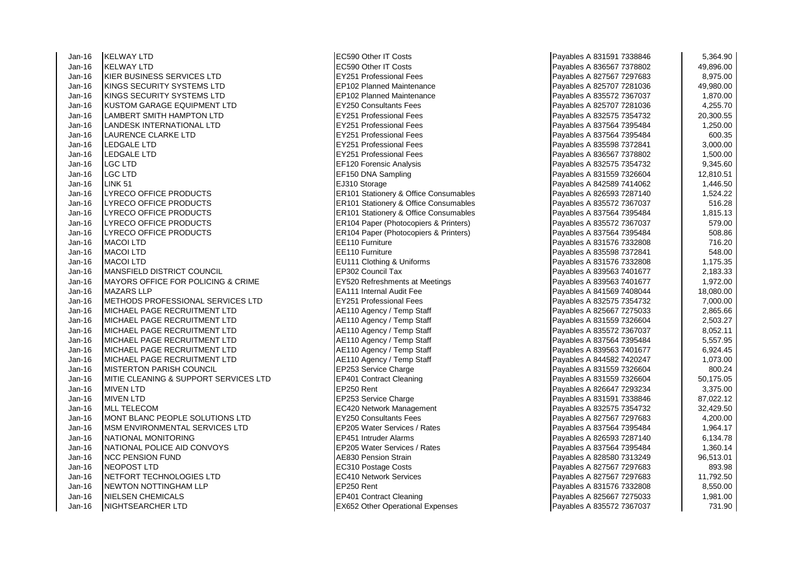Jan-16 KELWAY LTD EC590 Other IT Costs Payables A 831591 7338846 5,364.90 Jan-16 KELWAY LTD EC590 Other IT Costs Payables A 836567 7378802 49,896.00 Jan-16 KIER BUSINESS SERVICES LTD EXAMPLE RESERVES PROfessional Fees Jan-16 KINGS SECURITY SYSTEMS LTD EP102 Planned Maintenance Jan-16 KINGS SECURITY SYSTEMS LTD EP102 Planned Maintenance Jan-16 KUSTOM GARAGE EQUIPMENT LTD EY250 Consultants Fees<br>Jan-16 LAMBERT SMITH HAMPTON LTD EXECTED EY251 Professional Fees Jan-16 **LAMBERT SMITH HAMPTON LTD** EY251 Professional Fees Payable A 83251 Professional Fees Payable A 83257 Professional Fees Payable A 832575 735473 2000. Jan-16 LANDESK INTERNATIONAL LTD Jan-16 LAURENCE CLARKE LTD EX251 Professional Fees Jan-16 LEDGALE LTD EY251 Professional Fees Payables A 835598 7372841 3,000.00 Jan-16 LEDGALE LTD EY251 Professional Fees Payables A 836567 7378802 1,500.00 Jan-16 LGC LTD EF120 Forensic Analysis Payables A 832575 7354732 9,345.60 Jan-16 LGC LTD EF150 DNA Sampling Payables A 831559 7326604 12,810.51 Jan-16 LINK 51 EJ310 Storage Payables A 842589 7414062 1,446.50 Jan-16 LYRECO OFFICE PRODUCTS ERIOL ER101 Stationery & Office Consumables <br>Jan-16 HYRECO OFFICE PRODUCTS FRIEL ERIOL Stationery & Office Consumables Jan-16 LYRECO OFFICE PRODUCTS ERICLE ISSUED TO LATER RESERVED FRAME RADIO STATIONERY & Office Consumables Jan-16 LYRECO OFFICE PRODUCTS ERIOT SERIOT STATION STATIONERY & Office Consumables A 837564 738764 73964 1,815<br>Jan-16 LYRECO OFFICE PRODUCTS ERIOT SERIOT SERIOT PARAGE (Photocopiers & Printers) Jan-16 LYRECO OFFICE PRODUCTS ER104 Paper (Photocopiers & Printers) Payables A 835572 7367037 579.00 Jan-16 LYRECO OFFICE PRODUCTS ERIO4 Paper (Photocopiers & Printers) Jan-16 MACOI LTD EE110 Furniture Payables A 831576 7332808 716.20 Jan-16 MACOI LTD EE110 Furniture Payables A 835598 7372841 548.00 Jan-16 MACOI LTD **EU111 Clothing & Uniforms** Jan-16 MANSFIELD DISTRICT COUNCIL<br>Jan-16 MAYORS OFFICE FOR POLICING & CRIME EY520 Refreshments at Meetings Jan-16 MAYORS OFFICE FOR POLICING & CRIME Jan-16 MAZARS LLP **EA111** Internal Audit Fee Jan-16 METHODS PROFESSIONAL SERVICES LTD **EXAMPLE RES** Professional Fees Jan-16 MICHAEL PAGE RECRUITMENT LTD Annual AE110 Agency / Temp Staff Jan-16 MICHAEL PAGE RECRUITMENT LTD <br>Jan-16 MICHAEL PAGE RECRUITMENT LTD **AE110 Agency / Temp Staff** Jan-16 MICHAEL PAGE RECRUITMENT LTD Jan-16 MICHAEL PAGE RECRUITMENT LTD AE110 Agency / Temp Staff Payables A 837564 74564 7487564 73964 7487564 73<br>Jan-16 MICHAEL PAGE RECRUITMENT LTD AE110 AGE110 Agency / Temp Staff Jan-16 MICHAEL PAGE RECRUITMENT LTD Jan-16 MICHAEL PAGE RECRUITMENT LTD Annual AE110 Agency / Temp Staff Jan-16 MISTERTON PARISH COUNCIL **EP253** Service Charge Jan-16 MITIE CLEANING & SUPPORT SERVICES LTD EP401 Contract Cleaning Jan-16 MIVEN LTD EP250 Rent Payables A 826647 7293234 3,375.00 Jan-16 MIVEN LTD EP253 Service Charge Payables A 831591 7338846 87,022.12 Jan-16 MLL TELECOM EC420 Network Management Jan-16 MONT BLANC PEOPLE SOLUTIONS LTD **EXAMPLE SOLUTIONS** EXAMPLE RADIES A 82750 Consultants Fees Jan-16 MSM ENVIRONMENTAL SERVICES LTD EP205 Water Services / Rates Jan-16 NATIONAL MONITORING EP451 Intruder Alarms<br>Jan-16 NATIONAL POLICE AID CONVOYS FRAGE REPORT Water Services / Rates Jan-16 NATIONAL POLICE AID CONVOYS Jan-16 NCC PENSION FUND AE830 Pension Strain Payables A 828580 7313249 96,513.01 Jan-16 |NEOPOST LTD |EC310 Postage Costs Payables A 827567 7297683 | 893.98 Jan-16 **NETFORT TECHNOLOGIES LTD Example 1 EC410 Network Services** Jan-16 NEWTON NOTTINGHAM LLP **EP250** Rent Jan-16 **INIELSEN CHEMICALS** EP401 Contract Cleaning Payables A 82567 727503 1,981.00033 1,981.00033 1,981.00033 1,981.00033 1,991.00033 1,991.00033 1,991.00033 1,991.00033 1,991.00033 1,991.00033 1,991.0003 1,991.0003 1,99 Jan-16 NIGHTSEARCHER LTD EX652 Other Operational Expenses

| Payables A 831591 7338846                              | 5,364.90               |
|--------------------------------------------------------|------------------------|
| Payables A 836567 7378802                              | 49,896.00              |
| Payables A 827567 7297683                              | 8,975.00               |
| Payables A 825707 7281036                              | 49,980.00              |
| Payables A 835572 7367037                              | 1,870.00               |
| Payables A 825707 7281036                              | 4,255.70               |
| Payables A 832575 7354732                              | 20,300.55              |
| Payables A 837564 7395484                              | 1,250.00               |
| Payables A 837564 7395484                              | 600.35                 |
| Payables A 835598 7372841                              | 3,000.00               |
| Payables A 836567 7378802                              | 1,500.00               |
| Payables A 832575 7354732                              | 9,345.60               |
| Payables A 831559 7326604                              | 12,810.51              |
| Payables A 842589 7414062                              | 1,446.50               |
| Payables A 826593 7287140                              | 1,524.22               |
| Payables A 835572 7367037                              | 516.28                 |
| Payables A 837564 7395484                              | 1,815.13               |
| Payables A 835572 7367037                              | 579.00                 |
| Payables A 837564 7395484                              | 508.86                 |
| Payables A 831576 7332808                              | 716.20                 |
| Payables A 835598 7372841                              | 548.00                 |
| Payables A 831576 7332808                              | 1,175.35               |
| Payables A 839563 7401677                              | 2,183.33               |
| Payables A 839563 7401677                              | 1,972.00               |
| Payables A 841569 7408044                              | 18,080.00              |
| Payables A 832575 7354732                              | 7,000.00               |
| Payables A 825667 7275033                              | 2,865.66               |
| Payables A 831559 7326604                              | 2,503.27               |
| Payables A 835572 7367037                              | 8,052.11               |
| Payables A 837564 7395484                              | 5,557.95               |
| Payables A 839563 7401677                              | 6,924.45               |
| Payables A 844582 7420247                              | 1,073.00               |
| Payables A 831559 7326604                              | 800.24                 |
| Payables A 831559 7326604                              | 50,175.05              |
| Payables A 826647 7293234                              | 3,375.00               |
| Payables A 831591 7338846<br>Payables A 832575 7354732 | 87,022.12<br>32,429.50 |
| Payables A 827567 7297683                              | 4,200.00               |
| Payables A 837564 7395484                              | 1,964.17               |
| Payables A 826593 7287140                              | 6,134.78               |
| Payables A 837564 7395484                              | 1,360.14               |
| Payables A 828580 7313249                              | 96,513.01              |
| Payables A 827567 7297683                              | 893.98                 |
| Payables A 827567 7297683                              | 11,792.50              |
| Payables A 831576 7332808                              | 8,550.00               |
| Payables A 825667 7275033                              | 1,981.00               |
| Payables A 835572 7367037                              | 731.90                 |
|                                                        |                        |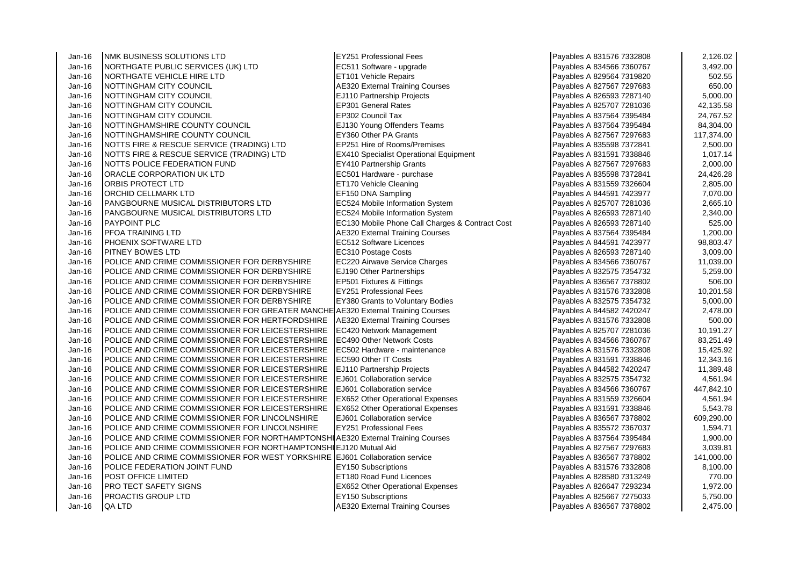Jan-16 MMK BUSINESS SOLUTIONS LTD **EXAMPLE 1999** EX251 Professional Fees<br>Jan-16 NORTHGATE PUBLIC SERVICES (UK) LTD **ECS11** Software - upgrade Jan-16 NORTHGATE PUBLIC SERVICES (UK) LTD Jan-16 **INORTHGATE VEHICLE HIRE LTD** ET101 Vehicle Repairs Jan-16 NOTTINGHAM CITY COUNCIL **AC320** External Training Courses Jan-16 NOTTINGHAM CITY COUNCIL THE SAND PARTNERS RELATION PARTNERS Projects<br>Jan-16 NOTTINGHAM CITY COUNCIL THE SAND SEP SOLONGER Rates Jan-16 NOTTINGHAM CITY COUNCIL Jan-16 NOTTINGHAM CITY COUNCIL NOTHER SERVICE REP302 Council Tax Payables A 847-564 25764 25764 25764 25764 25<br>Jan-16 NOTTINGHAMSHIRE COUNTY COUNCIL Jan-16 NOTTINGHAMSHIRE COUNTY COUNCIL EJ130 Young Offenders<br>Jan-16 NOTTINGHAMSHIRE COUNTY COUNCIL EX360 Other PA Grants Jan-16 **NOTTINGHAMSHIRE COUNTY COUNCIL** Jan-16 NOTTS FIRE & RESCUE SERVICE (TRADING) LTD EP251 Hire of Rooms/Premises Jan-16 NOTTS FIRE & RESCUE SERVICE (TRADING) LTD **EX410 Specialist Operational Equipment** Jan-16 NOTTS POLICE FEDERATION FUND Jan-16 NOTTS POLICE FEDERATION FUND<br>Jan-16 ORACLE CORPORATION UK LTD EC501 Hardware - purchase Jan-16 **ORACLE CORPORATION UK LTD** EC501 Hardware - purchase Payable Payable Payable Payable Payable Payable Pay<br>Jan-16 **ORBIS PROTECT LTD** A 835-96.2872841 24,426.2872841 24,426.28941 24,426.28941 24,426.28941 24,426.2894 Jan-16 ORBIS PROTECT LTD ET170 Vehicle Cleaning Payables A 831559 7326604 2,805.00 Jan-16 ORCHID CELLMARK LTD EF150 DNA Sampling Payables A 844591 7423977 7,070.00 Jan-16 PANGBOURNE MUSICAL DISTRIBUTORS LTD EC524 Mobile Information System Jan-16 PANGBOURNE MUSICAL DISTRIBUTORS LTD EC524 Mobile Information System Jan-16 PAYPOINT PLC **PAYPOINT PLC** EC130 Mobile Phone Call Charges & Contract Cost Jan-16 PFOA TRAINING LTD Jan-16 **PFOA TRAINING LTD** AE320 External Training Courses **Payable A** 8376 External Training Courses Jan-16 PHOENIX SOFTWARE LTD EC512 Software Licences Jan-16 PITNEY BOWES LTD EC310 Postage Costs Payables A 826593 7287140 3,009.00 Jan-16 POLICE AND CRIME COMMISSIONER FOR DERBYSHIRE **EC220 Airwave Service Charges** Jan-16 POLICE AND CRIME COMMISSIONER FOR DERBYSHIRE **EJ190** Other Partnerships Jan-16 POLICE AND CRIME COMMISSIONER FOR DERBYSHIRE | EP501 Fixtures & Fittings Jan-16 POLICE AND CRIME COMMISSIONER FOR DERBYSHIRE EY251 Professional Fees Jan-16 POLICE AND CRIME COMMISSIONER FOR DERBYSHIRE | EY380 Grants to Voluntary Bodies Jan-16 **POLICE AND CRIME COMMISSIONER FOR GREATER MANCHE A 5320 External Training Courses** Jan-16 POLICE AND CRIME COMMISSIONER FOR HERTFORDSHIRE AE320 External Training Courses Jan-16 **POLICE AND CRIME COMMISSIONER FOR LEICESTERSHIRE** EC420 Network Management Jan-16 POLICE AND CRIME COMMISSIONER FOR LEICESTERSHIRE EC490 Other Network Costs<br>Jan-16 POLICE AND CRIME COMMISSIONER FOR LEICESTERSHIRE EC502 Hardware - maintenance Jan-16 POLICE AND CRIME COMMISSIONER FOR LEICESTERSHIRE Jan-16 POLICE AND CRIME COMMISSIONER FOR LEICESTERSHIRE EC590 Other IT Costs Jan-16 | POLICE AND CRIME COMMISSIONER FOR LEICESTERSHIRE | EJ110 Partnership Projects Jan-16 **POLICE AND CRIME COMMISSIONER FOR LEICESTERSHIRE** EJ601 Collaboration service Jan-16 **POLICE AND CRIME COMMISSIONER FOR LEICESTERSHIRE** EJ601 Collaboration service Jan-16 POLICE AND CRIME COMMISSIONER FOR LEICESTERSHIRE EX652 Other Operational Expenses Jan-16 **POLICE AND CRIME COMMISSIONER FOR LEICESTERSHIRE** EX652 Other Operational Expenses Jan-16 POLICE AND CRIME COMMISSIONER FOR LINCOLNSHIRE EJ601 Collaboration service Jan-16 POLICE AND CRIME COMMISSIONER FOR LINCOLNSHIRE **EX251 Professional Fees** Jan-16 POLICE AND CRIME COMMISSIONER FOR NORTHAMPTONSHIAE320 External Training Courses Jan-16 POLICE AND CRIME COMMISSIONER FOR NORTHAMPTONSHIF.1120 Mutual Aid Jan-16 **POLICE AND CRIME COMMISSIONER FOR WEST YORKSHIRE EJ601 Collaboration service** Jan-16 POLICE FEDERATION JOINT FUND EXTERNATION EXTERNATIONS Rubscriptions Jan-16 POST OFFICE LIMITED ET180 Road Fund Licences Jan-16 **PRO TECT SAFETY SIGNS EX652 Other Operational Expenses** Jan-16 PROACTIS GROUP LTD EXTERNAL EXTENSIONS CONSTRUCTED A 84567 72750 Subscriptions Jan-16 QA LTD AE320 External Training Courses Payables A 836567 7378802 2,475.000 2,475.000 2,475.000 2,475.00

| Payables A 831576 7332808 | 2,126.02   |
|---------------------------|------------|
| Payables A 834566 7360767 | 3,492.00   |
| Payables A 829564 7319820 | 502.55     |
| Payables A 827567 7297683 | 650.00     |
| Payables A 826593 7287140 | 5,000.00   |
| Payables A 825707 7281036 | 42,135.58  |
| Payables A 837564 7395484 | 24,767.52  |
| Payables A 837564 7395484 | 84,304.00  |
| Payables A 827567 7297683 | 117,374.00 |
| Payables A 835598 7372841 | 2,500.00   |
| Payables A 831591 7338846 | 1,017.14   |
| Payables A 827567 7297683 | 2,000.00   |
| Payables A 835598 7372841 | 24,426.28  |
| Payables A 831559 7326604 | 2,805.00   |
| Payables A 844591 7423977 | 7,070.00   |
| Payables A 825707 7281036 | 2,665.10   |
| Payables A 826593 7287140 | 2,340.00   |
| Payables A 826593 7287140 | 525.00     |
| Payables A 837564 7395484 | 1,200.00   |
| Payables A 844591 7423977 | 98,803.47  |
| Payables A 826593 7287140 | 3,009.00   |
| Payables A 834566 7360767 | 11,039.00  |
| Payables A 832575 7354732 | 5,259.00   |
| Payables A 836567 7378802 | 506.00     |
| Payables A 831576 7332808 | 10,201.58  |
| Payables A 832575 7354732 | 5,000.00   |
| Payables A 844582 7420247 | 2,478.00   |
| Payables A 831576 7332808 | 500.00     |
| Payables A 825707 7281036 | 10,191.27  |
| Payables A 834566 7360767 | 83,251.49  |
| Payables A 831576 7332808 | 15,425.92  |
| Payables A 831591 7338846 | 12,343.16  |
| Payables A 844582 7420247 | 11,389.48  |
| Payables A 832575 7354732 | 4,561.94   |
| Payables A 834566 7360767 | 447,842.10 |
| Payables A 831559 7326604 | 4,561.94   |
| Payables A 831591 7338846 | 5,543.78   |
| Payables A 836567 7378802 | 609,290.00 |
| Payables A 835572 7367037 | 1,594.71   |
| Payables A 837564 7395484 | 1,900.00   |
| Payables A 827567 7297683 | 3,039.81   |
| Payables A 836567 7378802 | 141,000.00 |
| Payables A 831576 7332808 | 8,100.00   |
| Payables A 828580 7313249 | 770.00     |
| Payables A 826647 7293234 | 1,972.00   |
| Payables A 825667 7275033 | 5,750.00   |
| Payables A 836567 7378802 | 2,475.00   |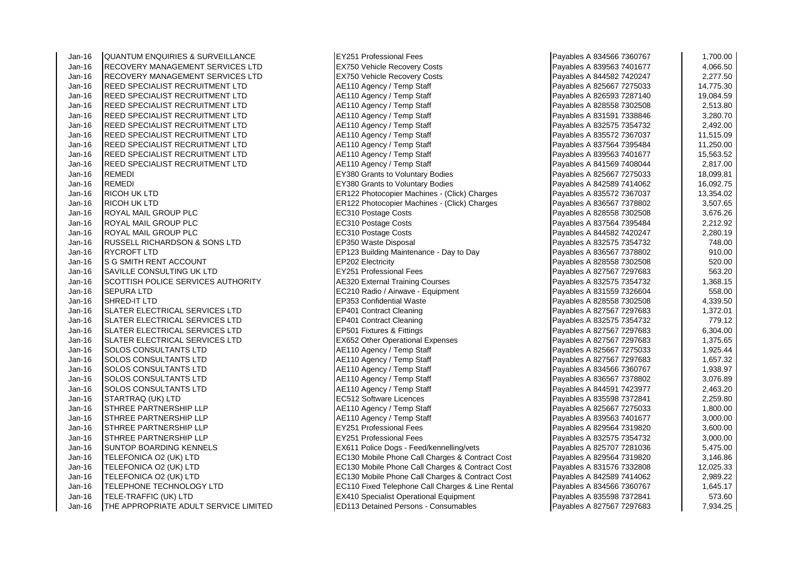Jan-16 QUANTUM ENQUIRIES & SURVEILLANCE EY251 Professional Fees Payables A 834566 7360767 1,700.00 Jan-16 RECOVERY MANAGEMENT SERVICES LTD **EX750 Vehicle Recovery Costs** Payable 16 Jan-16 RECOVERY MANAGEMENT SERVICES LTD RECOVERY MANAGEMENT SERVICES LTD Jan-16 REED SPECIALIST RECRUITMENT LTD Annual AE110 Agency / Temp Staff Jan-16 REED SPECIALIST RECRUITMENT LTD <br>Jan-16 REED SPECIALIST RECRUITMENT LTD AE110 Agency / Temp Staff Jan-16 REED SPECIALIST RECRUITMENT LTD <br>Jan-16 REED SPECIALIST RECRUITMENT LTD AE110 Agency / Temp Staff Jan-16 REED SPECIALIST RECRUITMENT LTD **AE110 Agency / Temp Staff Payable 1**<br>Jan-16 REED SPECIALIST RECRUITMENT LTD **A 831591 7338846** AE110 Agency / Temp Staff REED SPECIALIST RECRUITMENT LTD <br>REED SPECIALIST RECRUITMENT LTD **AE110 Agency / Temp Staff** Jan-16 REED SPECIALIST RECRUITMENT LTD Jan-16 REED SPECIALIST RECRUITMENT LTD <br>Jan-16 REED SPECIALIST RECRUITMENT LTD AE110 Agency / Temp Staff Jan-16 REED SPECIALIST RECRUITMENT LTD Jan-16 REED SPECIALIST RECRUITMENT LTD **AE110 Agency / Temp Staff Payable A 8414** AE110 Agency / Temp Staff Payables A 8416 **REMEDI** Jan-16 REMEDI EY380 Grants to Voluntary Bodies (Separation 1999)<br>Jan-16 REMEDI EY380 Grants to Voluntary Bodies Jan-16 RICOH UK LTD ER122 Photocopier Machines - (Click) Charges<br>Jan-16 RICOH UK I TD TO 835737 13,35572 7367037 13,354.0257 13,354.0257 13,354.0257 13,354.0257 13,354.025 Jan-16 ROYAL MAIL GROUP PLC **EXAGGE COSTS** Postage Costs Payable Payable Research Postage Costs Jan-16 ROYAL MAIL GROUP PLC<br>
Jan-16 ROYAL MAIL GROUP PLC STORES REC310 Postage Costs ROYAL MAIL GROUP PLC Jan-16 RUSSELL RICHARDSON & SONS LTD EP350 Waste Disposal Jan-16 RYCROFT LTD EP123 Building Maintenance - Day to Day Jan-16 S G SMITH RENT ACCOUNT<br>Jan-16 SAVILLE CONSULTING UK LTD **EXASTER** EXPENSION FOR BOSSIGNAL FORESTION SANTLE CONSULTING UK LTD Jan-16 SAVILLE CONSULTING UK LTD EX251 Professional Fees<br>Jan-16 SCOTTISH POLICE SERVICES AUTHORITY A 8220 External Training Courses Jan-16 SCOTTISH POLICE SERVICES AUTHORITY Jan-16 SEPURA LTD **ECOLOGY EQUIPMENT PAYABLES A 83159 7326 7336** FC210 Radio / Airwave - Equipment Jan-16 SHRED-IT LTD EP353 Confidential Waste Jan-16 SLATER ELECTRICAL SERVICES LTD EP401 Contract Cleaning Jan-16 SLATER ELECTRICAL SERVICES LTD EP401 Contract Cleaning Jan-16 SLATER ELECTRICAL SERVICES LTD EP501 Fixtures & Fittings Jan-16 SLATER ELECTRICAL SERVICES LTD EX652 Other Operational Expenses<br>Jan-16 SOLOS CONSULTANTS LTD A 82710 A 82710 A 82767 72976 1,375.657 8474 8376.657 8376.657 8376.657 8376.657 Jan-16 SOLOS CONSULTANTS LTD Annual AE110 Agency / Temp Staff Payables A 82567 727503 Jan-16 SOLOS CONSULTANTS LTD Annual AE110 Agency / Temp Staff Payables A 827567 72976 Jan-16 SOLOS CONSULTANTS LTD Annual AE110 Agency / Temp Staff Payables A 83456 Jan-16 SOLOS CONSULTANTS LTD Annual AE110 Agency / Temp Staff Payables A 836567 73867 83667 83667 846 Jan-16 SOLOS CONSULTANTS LTD AE110 Agency / Temp Staff Payables A 844591 742397 2,464591 742397 2,464<br>Jan-16 STARTRAO (UK) I TD STARTRAQ (UK) LTD EC512 Software Licences Jan-16 STHREE PARTNERSHIP LLP And According the Latitude AGE110 Agency / Temp Staff Payables A 82567 72750 727 Jan-16 STHREE PARTNERSHIP LLP **ALL AGENCY A 839563 7410 Agency / Temp Staff** Payables A 839563 740167 Jan-16 STHREE PARTNERSHIP LLP EXAMPLE EXAMPLE THE STHREE PARTNERSHIP LLP Jan-16 STHREE PARTNERSHIP LLP<br>Jan-16 SUNTOP BOARDING KENNELS EXACTE EX611 Police Dogs - Fee Jan-16 TELEFONICA O2 (UK) LTD **EC130** Mobile Phone Call Charges & Contract Cost Jan-16 TELEFONICA O2 (UK) LTD ECLISION NObile Phone Call Charges & Contract Cost Jan-16 TELEFONICA O2 (UK) LTD EXAMPLE RECTRIS RECTRIS RECTRIS Mobile Phone Call Charges & Contract Cost Jan-16 TELEPHONE TECHNOLOGY LTD EXAMPLE RECORD RECORD RECORD TELEPHONE CALL Charges & Line Rental Jan-16 TELE-TRAFFIC (UK) LTD EX410 Specialist Operational Equipment Jan-16 THE APPROPRIATE ADULT SERVICE LIMITED **EDITIMITED** ED113 Detained Persons - Consumables

EY380 Grants to Voluntary Bodies **FR122 Photocopier Machines - (Click) Charges** EX611 Police Dogs - Feed/kennelling/vets

| Payables A 834566 7360767 | 1,700.00  |
|---------------------------|-----------|
| Payables A 839563 7401677 | 4,066.50  |
| Payables A 844582 7420247 | 2,277.50  |
| Payables A 825667 7275033 | 14,775.30 |
| Payables A 826593 7287140 | 19,084.59 |
| Payables A 828558 7302508 | 2,513.80  |
| Payables A 831591 7338846 | 3,280.70  |
| Payables A 832575 7354732 | 2,492.00  |
| Payables A 835572 7367037 | 11,515.09 |
| Payables A 837564 7395484 | 11,250.00 |
| Payables A 839563 7401677 | 15,563.52 |
| Payables A 841569 7408044 | 2,817.00  |
| Payables A 825667 7275033 | 18,099.81 |
| Payables A 842589 7414062 | 16,092.75 |
| Payables A 835572 7367037 | 13,354.02 |
| Payables A 836567 7378802 | 3,507.65  |
| Payables A 828558 7302508 | 3,676.26  |
| Payables A 837564 7395484 | 2,212.92  |
| Payables A 844582 7420247 | 2,280.19  |
| Payables A 832575 7354732 | 748.00    |
| Payables A 836567 7378802 | 910.00    |
| Payables A 828558 7302508 | 520.00    |
| Payables A 827567 7297683 | 563.20    |
| Payables A 832575 7354732 | 1,368.15  |
| Payables A 831559 7326604 | 558.00    |
| Payables A 828558 7302508 | 4,339.50  |
| Payables A 827567 7297683 | 1,372.01  |
| Payables A 832575 7354732 | 779.12    |
| Payables A 827567 7297683 | 6,304.00  |
| Payables A 827567 7297683 | 1,375.65  |
| Payables A 825667 7275033 | 1,925.44  |
| Payables A 827567 7297683 | 1,657.32  |
| Payables A 834566 7360767 | 1,938.97  |
| Payables A 836567 7378802 | 3,076.89  |
| Payables A 844591 7423977 | 2,463.20  |
| Payables A 835598 7372841 | 2,259.80  |
| Payables A 825667 7275033 | 1,800.00  |
| Payables A 839563 7401677 | 3,000.00  |
| Payables A 829564 7319820 | 3,600.00  |
| Payables A 832575 7354732 | 3,000.00  |
| Payables A 825707 7281036 | 5,475.00  |
| Payables A 829564 7319820 | 3,146.86  |
| Payables A 831576 7332808 | 12,025.33 |
| Payables A 842589 7414062 | 2,989.22  |
| Payables A 834566 7360767 | 1,645.17  |
| Payables A 835598 7372841 | 573.60    |
| Payables A 827567 7297683 | 7,934.25  |